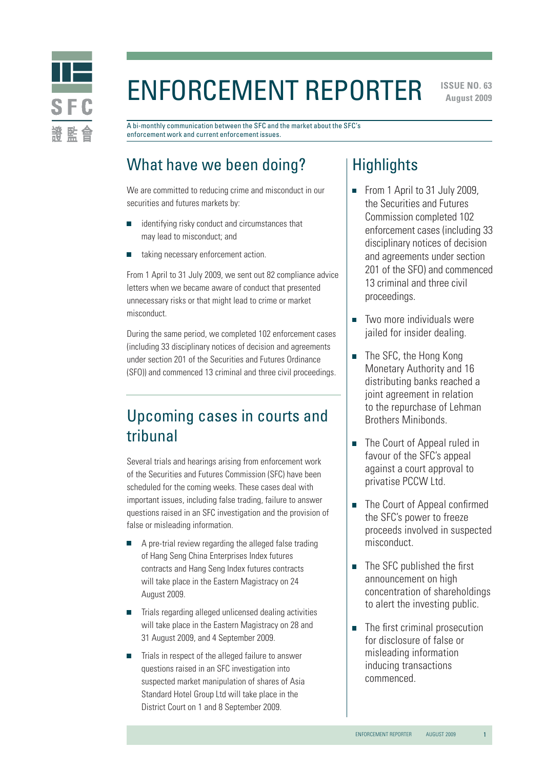

# Enforcement Reporter

**ISSUE NO. 63 August 2009** 

A bi-monthly communication between the SFC and the market about the SFC's enforcement work and current enforcement issues.

# What have we been doing?

We are committed to reducing crime and misconduct in our securities and futures markets by:

- identifying risky conduct and circumstances that may lead to misconduct; and
- taking necessary enforcement action.

From 1 April to 31 July 2009, we sent out 82 compliance advice letters when we became aware of conduct that presented unnecessary risks or that might lead to crime or market misconduct.

During the same period, we completed 102 enforcement cases (including 33 disciplinary notices of decision and agreements under section 201 of the Securities and Futures Ordinance (SFO)) and commenced 13 criminal and three civil proceedings.

### Upcoming cases in courts and tribunal

Several trials and hearings arising from enforcement work of the Securities and Futures Commission (SFC) have been scheduled for the coming weeks. These cases deal with important issues, including false trading, failure to answer questions raised in an SFC investigation and the provision of false or misleading information.

- A pre-trial review regarding the alleged false trading of Hang Seng China Enterprises Index futures contracts and Hang Seng Index futures contracts will take place in the Eastern Magistracy on 24 August 2009.
- Trials regarding alleged unlicensed dealing activities will take place in the Eastern Magistracy on 28 and 31 August 2009, and 4 September 2009.
- Trials in respect of the alleged failure to answer questions raised in an SFC investigation into suspected market manipulation of shares of Asia Standard Hotel Group Ltd will take place in the District Court on 1 and 8 September 2009.

### **Highlights**

- From 1 April to 31 July 2009, the Securities and Futures Commission completed 102 enforcement cases (including 33 disciplinary notices of decision and agreements under section 201 of the SFO) and commenced 13 criminal and three civil proceedings.
- Two more individuals were jailed for insider dealing.
- The SFC, the Hong Kong Monetary Authority and 16 distributing banks reached a joint agreement in relation to the repurchase of Lehman Brothers Minibonds.
- The Court of Appeal ruled in favour of the SFC's appeal against a court approval to privatise PCCW Ltd.
- The Court of Appeal confirmed the SFC's power to freeze proceeds involved in suspected misconduct.
- The SFC published the first announcement on high concentration of shareholdings to alert the investing public.
- The first criminal prosecution for disclosure of false or misleading information inducing transactions commenced.

1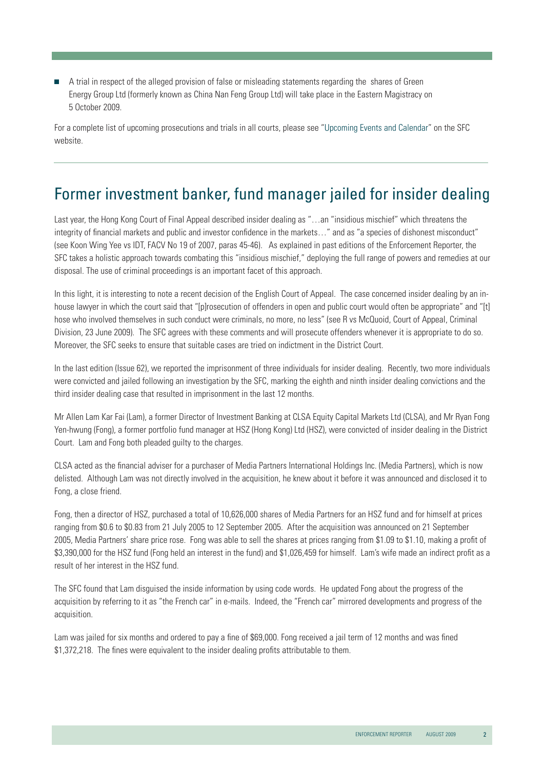A trial in respect of the alleged provision of false or misleading statements regarding the shares of Green Energy Group Ltd (formerly known as China Nan Feng Group Ltd) will take place in the Eastern Magistracy on 5 October 2009.

For a complete list of upcoming prosecutions and trials in all courts, please see "[Upcoming Events and Calendar"](http://www.sfc.hk/sfc/html/EN/events/prosecutions/prosecutions.html) on the SFC website.

# Former investment banker, fund manager jailed for insider dealing

Last year, the Hong Kong Court of Final Appeal described insider dealing as "…an "insidious mischief" which threatens the integrity of financial markets and public and investor confidence in the markets…" and as "a species of dishonest misconduct" (see Koon Wing Yee vs IDT, FACV No 19 of 2007, paras 45-46). As explained in past editions of the Enforcement Reporter, the SFC takes a holistic approach towards combating this "insidious mischief," deploying the full range of powers and remedies at our disposal. The use of criminal proceedings is an important facet of this approach.

In this light, it is interesting to note a recent decision of the English Court of Appeal. The case concerned insider dealing by an inhouse lawyer in which the court said that "[p]rosecution of offenders in open and public court would often be appropriate" and "[t] hose who involved themselves in such conduct were criminals, no more, no less" (see R vs McQuoid, Court of Appeal, Criminal Division, 23 June 2009). The SFC agrees with these comments and will prosecute offenders whenever it is appropriate to do so. Moreover, the SFC seeks to ensure that suitable cases are tried on indictment in the District Court.

In the last edition (Issue 62), we reported the imprisonment of three individuals for insider dealing. Recently, two more individuals were convicted and jailed following an investigation by the SFC, marking the eighth and ninth insider dealing convictions and the third insider dealing case that resulted in imprisonment in the last 12 months.

Mr Allen Lam Kar Fai (Lam), a former Director of Investment Banking at CLSA Equity Capital Markets Ltd (CLSA), and Mr Ryan Fong Yen-hwung (Fong), a former portfolio fund manager at HSZ (Hong Kong) Ltd (HSZ), were convicted of insider dealing in the District Court. Lam and Fong both pleaded guilty to the charges.

CLSA acted as the financial adviser for a purchaser of Media Partners International Holdings Inc. (Media Partners), which is now delisted. Although Lam was not directly involved in the acquisition, he knew about it before it was announced and disclosed it to Fong, a close friend.

Fong, then a director of HSZ, purchased a total of 10,626,000 shares of Media Partners for an HSZ fund and for himself at prices ranging from \$0.6 to \$0.83 from 21 July 2005 to 12 September 2005. After the acquisition was announced on 21 September 2005, Media Partners' share price rose. Fong was able to sell the shares at prices ranging from \$1.09 to \$1.10, making a profit of \$3,390,000 for the HSZ fund (Fong held an interest in the fund) and \$1,026,459 for himself. Lam's wife made an indirect profit as a result of her interest in the HSZ fund.

The SFC found that Lam disguised the inside information by using code words. He updated Fong about the progress of the acquisition by referring to it as "the French car" in e-mails. Indeed, the "French car" mirrored developments and progress of the acquisition.

Lam was jailed for six months and ordered to pay a fine of \$69,000. Fong received a jail term of 12 months and was fined \$1,372,218. The fines were equivalent to the insider dealing profits attributable to them.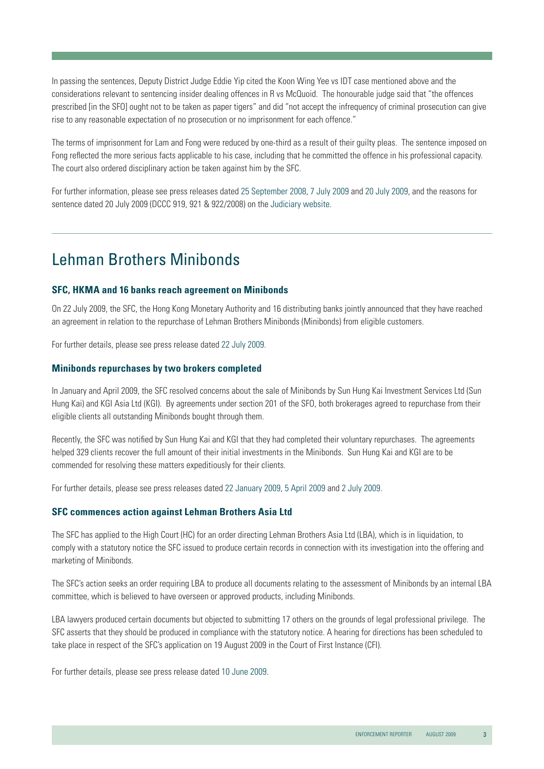In passing the sentences, Deputy District Judge Eddie Yip cited the Koon Wing Yee vs IDT case mentioned above and the considerations relevant to sentencing insider dealing offences in R vs McQuoid. The honourable judge said that "the offences prescribed [in the SFO] ought not to be taken as paper tigers" and did "not accept the infrequency of criminal prosecution can give rise to any reasonable expectation of no prosecution or no imprisonment for each offence."

The terms of imprisonment for Lam and Fong were reduced by one-third as a result of their guilty pleas. The sentence imposed on Fong reflected the more serious facts applicable to his case, including that he committed the offence in his professional capacity. The court also ordered disciplinary action be taken against him by the SFC.

For further information, please see press releases dated [25 September 2008](http://www.sfc.hk/sfcPressRelease/EN/sfcOpenDocServlet?docno=08PR152), [7 July 2009](http://www.sfc.hk/sfcPressRelease/EN/sfcOpenDocServlet?docno=09PR89) and [20 July 2009,](http://www.sfc.hk/sfcPressRelease/EN/sfcOpenDocServlet?docno=09PR96) and the reasons for sentence dated 20 July 2009 (DCCC 919, 921 & 922/2008) on the [Judiciary website.](http://www.judiciary.gov.hk/tc/index/index.htm)

### Lehman Brothers Minibonds

#### **SFC, HKMA and 16 banks reach agreement on Minibonds**

On 22 July 2009, the SFC, the Hong Kong Monetary Authority and 16 distributing banks jointly announced that they have reached an agreement in relation to the repurchase of Lehman Brothers Minibonds (Minibonds) from eligible customers.

For further details, please see press release dated [22 July 2009.](http://www.sfc.hk/sfcPressRelease/EN/sfcOpenDocServlet?docno=09PR100)

#### **Minibonds repurchases by two brokers completed**

In January and April 2009, the SFC resolved concerns about the sale of Minibonds by Sun Hung Kai Investment Services Ltd (Sun Hung Kai) and KGI Asia Ltd (KGI). By agreements under section 201 of the SFO, both brokerages agreed to repurchase from their eligible clients all outstanding Minibonds bought through them.

Recently, the SFC was notified by Sun Hung Kai and KGI that they had completed their voluntary repurchases. The agreements helped 329 clients recover the full amount of their initial investments in the Minibonds. Sun Hung Kai and KGI are to be commended for resolving these matters expeditiously for their clients.

For further details, please see press releases dated [22 January 2009](http://www.sfc.hk/sfcPressRelease/EN/sfcOpenDocServlet?docno=09PR8)[, 5 April 2009](http://www.sfc.hk/sfcPressRelease/EN/sfcOpenDocServlet?docno=09PR39) and [2 July 2009.](http://www.sfc.hk/sfcPressRelease/EN/sfcOpenDocServlet?docno=09PR87)

#### **SFC commences action against Lehman Brothers Asia Ltd**

The SFC has applied to the High Court (HC) for an order directing Lehman Brothers Asia Ltd (LBA), which is in liquidation, to comply with a statutory notice the SFC issued to produce certain records in connection with its investigation into the offering and marketing of Minibonds.

The SFC's action seeks an order requiring LBA to produce all documents relating to the assessment of Minibonds by an internal LBA committee, which is believed to have overseen or approved products, including Minibonds.

LBA lawyers produced certain documents but objected to submitting 17 others on the grounds of legal professional privilege. The SFC asserts that they should be produced in compliance with the statutory notice. A hearing for directions has been scheduled to take place in respect of the SFC's application on 19 August 2009 in the Court of First Instance (CFI).

For further details, please see press release dated [10 June 2009.](http://www.sfc.hk/sfcPressRelease/EN/sfcOpenDocServlet?docno=09PR80)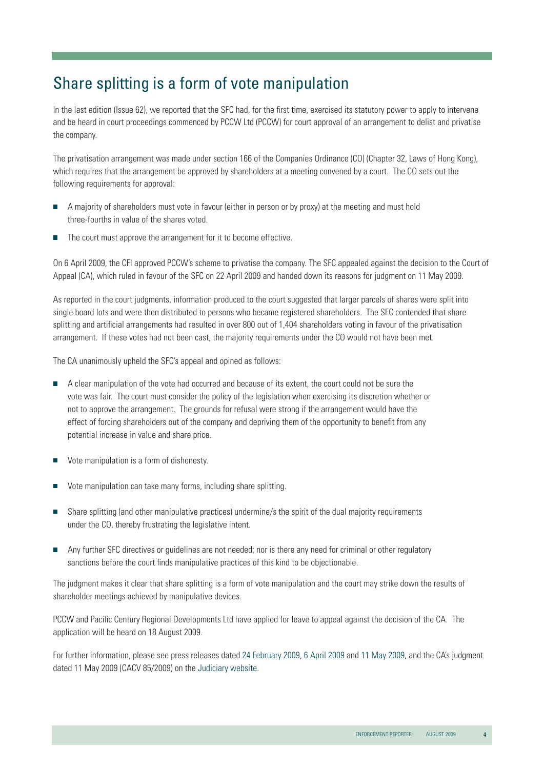# Share splitting is a form of vote manipulation

In the last edition (Issue 62), we reported that the SFC had, for the first time, exercised its statutory power to apply to intervene and be heard in court proceedings commenced by PCCW Ltd (PCCW) for court approval of an arrangement to delist and privatise the company.

The privatisation arrangement was made under section 166 of the Companies Ordinance (CO) (Chapter 32, Laws of Hong Kong), which requires that the arrangement be approved by shareholders at a meeting convened by a court. The CO sets out the following requirements for approval:

- A majority of shareholders must vote in favour (either in person or by proxy) at the meeting and must hold three-fourths in value of the shares voted.
- The court must approve the arrangement for it to become effective.

On 6 April 2009, the CFI approved PCCW's scheme to privatise the company. The SFC appealed against the decision to the Court of Appeal (CA), which ruled in favour of the SFC on 22 April 2009 and handed down its reasons for judgment on 11 May 2009.

As reported in the court judgments, information produced to the court suggested that larger parcels of shares were split into single board lots and were then distributed to persons who became registered shareholders. The SFC contended that share splitting and artificial arrangements had resulted in over 800 out of 1,404 shareholders voting in favour of the privatisation arrangement. If these votes had not been cast, the majority requirements under the CO would not have been met.

The CA unanimously upheld the SFC's appeal and opined as follows:

- A clear manipulation of the vote had occurred and because of its extent, the court could not be sure the vote was fair. The court must consider the policy of the legislation when exercising its discretion whether or not to approve the arrangement. The grounds for refusal were strong if the arrangement would have the effect of forcing shareholders out of the company and depriving them of the opportunity to benefit from any potential increase in value and share price.
- Vote manipulation is a form of dishonesty.
- Vote manipulation can take many forms, including share splitting.
- Share splitting (and other manipulative practices) undermine/s the spirit of the dual majority requirements under the CO, thereby frustrating the legislative intent.
- Any further SFC directives or guidelines are not needed; nor is there any need for criminal or other regulatory sanctions before the court finds manipulative practices of this kind to be objectionable.

The judgment makes it clear that share splitting is a form of vote manipulation and the court may strike down the results of shareholder meetings achieved by manipulative devices.

PCCW and Pacific Century Regional Developments Ltd have applied for leave to appeal against the decision of the CA. The application will be heard on 18 August 2009.

For further information, please see press releases dated [24 February 2009,](http://www.sfc.hk/sfcPressRelease/EN/sfcOpenDocServlet?docno=09PR17) [6 April 2009](http://www.sfc.hk/sfcPressRelease/EN/sfcOpenDocServlet?docno=09PR41) and [11 May 2009,](http://www.sfc.hk/sfcPressRelease/EN/sfcOpenDocServlet?docno=09PR62) and the CA's judgment dated 11 May 2009 (CACV 85/2009) on the [Judiciary website.](http://www.judiciary.gov.hk/tc/index/index.htm)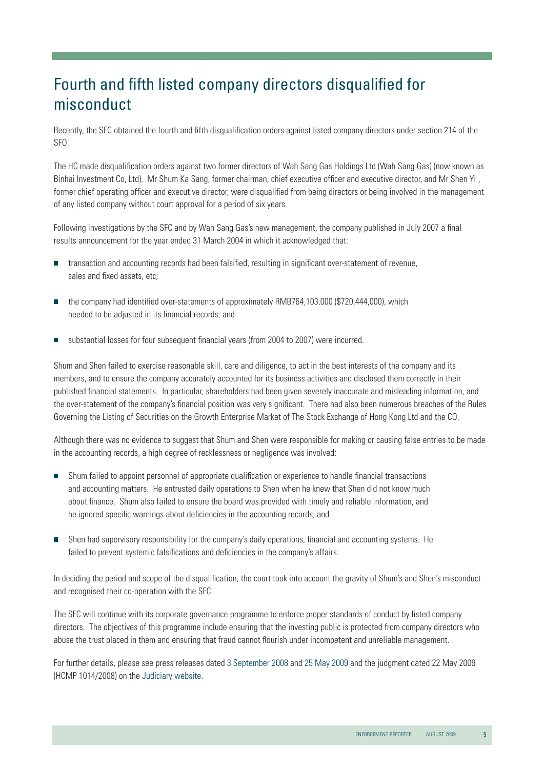# Fourth and fifth listed company directors disqualified for misconduct

Recently, the SFC obtained the fourth and fifth disqualification orders against listed company directors under section 214 of the SFO.

The HC made disqualification orders against two former directors of Wah Sang Gas Holdings Ltd (Wah Sang Gas) (now known as Binhai Investment Co, Ltd). Mr Shum Ka Sang, former chairman, chief executive officer and executive director, and Mr Shen Yi , former chief operating officer and executive director, were disqualified from being directors or being involved in the management of any listed company without court approval for a period of six years.

Following investigations by the SFC and by Wah Sang Gas's new management, the company published in July 2007 a final results announcement for the year ended 31 March 2004 in which it acknowledged that:

- transaction and accounting records had been falsified, resulting in significant over-statement of revenue, sales and fixed assets, etc;
- the company had identified over-statements of approximately RMB764,103,000 (\$720,444,000), which needed to be adjusted in its financial records; and
- substantial losses for four subsequent financial years (from 2004 to 2007) were incurred.

Shum and Shen failed to exercise reasonable skill, care and diligence, to act in the best interests of the company and its members, and to ensure the company accurately accounted for its business activities and disclosed them correctly in their published financial statements. In particular, shareholders had been given severely inaccurate and misleading information, and the over-statement of the company's financial position was very significant. There had also been numerous breaches of the Rules Governing the Listing of Securities on the Growth Enterprise Market of The Stock Exchange of Hong Kong Ltd and the CO.

Although there was no evidence to suggest that Shum and Shen were responsible for making or causing false entries to be made in the accounting records, a high degree of recklessness or negligence was involved:

- Shum failed to appoint personnel of appropriate qualification or experience to handle financial transactions and accounting matters. He entrusted daily operations to Shen when he knew that Shen did not know much about finance. Shum also failed to ensure the board was provided with timely and reliable information, and he ignored specific warnings about deficiencies in the accounting records; and
- Shen had supervisory responsibility for the company's daily operations, financial and accounting systems. He failed to prevent systemic falsifications and deficiencies in the company's affairs.

In deciding the period and scope of the disqualification, the court took into account the gravity of Shum's and Shen's misconduct and recognised their co-operation with the SFC.

The SFC will continue with its corporate governance programme to enforce proper standards of conduct by listed company directors. The objectives of this programme include ensuring that the investing public is protected from company directors who abuse the trust placed in them and ensuring that fraud cannot flourish under incompetent and unreliable management.

For further details, please see press releases dated [3 September 2008](http://www.sfc.hk/sfcPressRelease/EN/sfcOpenDocServlet?docno=08PR132) and [25 May 2009 a](http://www.sfc.hk/sfcPressRelease/EN/sfcOpenDocServlet?docno=09PR69)nd the judgment dated 22 May 2009 (HCMP 1014/2008) on the [Judiciary website](http://www.judiciary.gov.hk/tc/index/index.htm).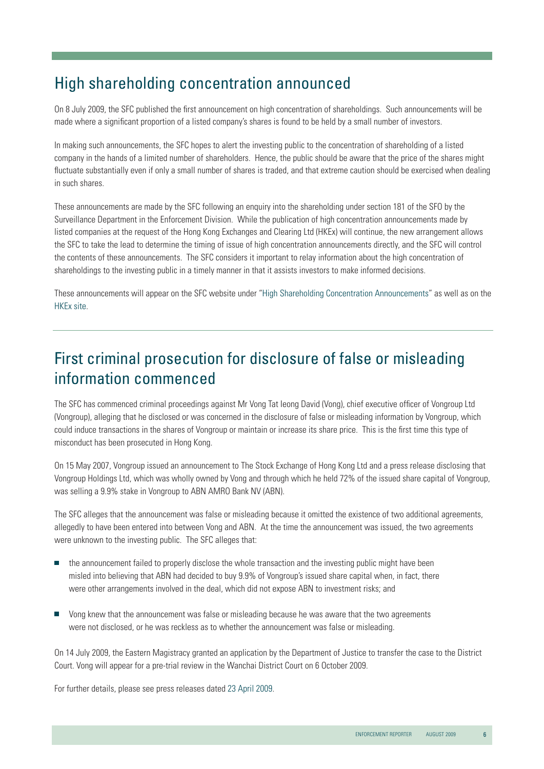### High shareholding concentration announced

On 8 July 2009, the SFC published the first announcement on high concentration of shareholdings. Such announcements will be made where a significant proportion of a listed company's shares is found to be held by a small number of investors.

In making such announcements, the SFC hopes to alert the investing public to the concentration of shareholding of a listed company in the hands of a limited number of shareholders. Hence, the public should be aware that the price of the shares might fluctuate substantially even if only a small number of shares is traded, and that extreme caution should be exercised when dealing in such shares.

These announcements are made by the SFC following an enquiry into the shareholding under section 181 of the SFO by the Surveillance Department in the Enforcement Division. While the publication of high concentration announcements made by listed companies at the request of the Hong Kong Exchanges and Clearing Ltd (HKEx) will continue, the new arrangement allows the SFC to take the lead to determine the timing of issue of high concentration announcements directly, and the SFC will control the contents of these announcements. The SFC considers it important to relay information about the high concentration of shareholdings to the investing public in a timely manner in that it assists investors to make informed decisions.

These announcements will appear on the SFC website under ["High Shareholding Concentration Announcements](http://www.sfc.hk/sfc/html/EN/general/highshareholding/highshareholding.html)" as well as on the [HKEx site](http://www.hkex.com.hk/index.htm).

# First criminal prosecution for disclosure of false or misleading information commenced

The SFC has commenced criminal proceedings against Mr Vong Tat Ieong David (Vong), chief executive officer of Vongroup Ltd (Vongroup), alleging that he disclosed or was concerned in the disclosure of false or misleading information by Vongroup, which could induce transactions in the shares of Vongroup or maintain or increase its share price. This is the first time this type of misconduct has been prosecuted in Hong Kong.

On 15 May 2007, Vongroup issued an announcement to The Stock Exchange of Hong Kong Ltd and a press release disclosing that Vongroup Holdings Ltd, which was wholly owned by Vong and through which he held 72% of the issued share capital of Vongroup, was selling a 9.9% stake in Vongroup to ABN AMRO Bank NV (ABN).

The SFC alleges that the announcement was false or misleading because it omitted the existence of two additional agreements, allegedly to have been entered into between Vong and ABN. At the time the announcement was issued, the two agreements were unknown to the investing public. The SFC alleges that:

- $\blacksquare$  the announcement failed to properly disclose the whole transaction and the investing public might have been misled into believing that ABN had decided to buy 9.9% of Vongroup's issued share capital when, in fact, there were other arrangements involved in the deal, which did not expose ABN to investment risks; and
- Vong knew that the announcement was false or misleading because he was aware that the two agreements were not disclosed, or he was reckless as to whether the announcement was false or misleading.

On 14 July 2009, the Eastern Magistracy granted an application by the Department of Justice to transfer the case to the District Court. Vong will appear for a pre-trial review in the Wanchai District Court on 6 October 2009.

For further details, please see press releases dated [23 April 2009](http://www.sfc.hk/sfcPressRelease/EN/sfcOpenDocServlet?docno=09PR56).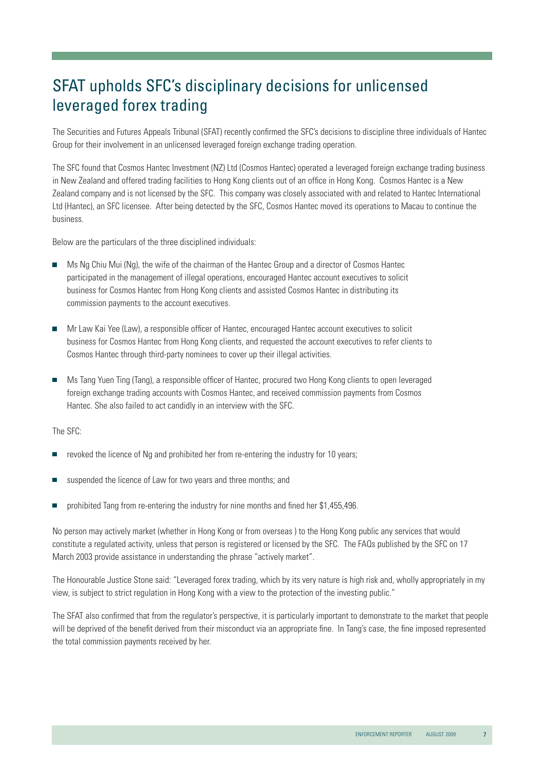# SFAT upholds SFC's disciplinary decisions for unlicensed leveraged forex trading

The Securities and Futures Appeals Tribunal (SFAT) recently confirmed the SFC's decisions to discipline three individuals of Hantec Group for their involvement in an unlicensed leveraged foreign exchange trading operation.

The SFC found that Cosmos Hantec Investment (NZ) Ltd (Cosmos Hantec) operated a leveraged foreign exchange trading business in New Zealand and offered trading facilities to Hong Kong clients out of an office in Hong Kong. Cosmos Hantec is a New Zealand company and is not licensed by the SFC. This company was closely associated with and related to Hantec International Ltd (Hantec), an SFC licensee. After being detected by the SFC, Cosmos Hantec moved its operations to Macau to continue the business.

Below are the particulars of the three disciplined individuals:

- **Ms Ng Chiu Mui (Ng), the wife of the chairman of the Hantec Group and a director of Cosmos Hantec**  participated in the management of illegal operations, encouraged Hantec account executives to solicit business for Cosmos Hantec from Hong Kong clients and assisted Cosmos Hantec in distributing its commission payments to the account executives.
- Mr Law Kai Yee (Law), a responsible officer of Hantec, encouraged Hantec account executives to solicit business for Cosmos Hantec from Hong Kong clients, and requested the account executives to refer clients to Cosmos Hantec through third-party nominees to cover up their illegal activities.
- Ms Tang Yuen Ting (Tang), a responsible officer of Hantec, procured two Hong Kong clients to open leveraged foreign exchange trading accounts with Cosmos Hantec, and received commission payments from Cosmos Hantec. She also failed to act candidly in an interview with the SFC.

The SFC:

- revoked the licence of Ng and prohibited her from re-entering the industry for 10 years;
- suspended the licence of Law for two vears and three months: and
- prohibited Tang from re-entering the industry for nine months and fined her \$1,455,496.

No person may actively market (whether in Hong Kong or from overseas ) to the Hong Kong public any services that would constitute a regulated activity, unless that person is registered or licensed by the SFC. The [FAQs](http://www.sfc.hk/sfc/doc/EN/faqs/licensing/faq-lic-9.pdf) published by the SFC on 17 March 2003 provide assistance in understanding the phrase "actively market".

The Honourable Justice Stone said: "Leveraged forex trading, which by its very nature is high risk and, wholly appropriately in my view, is subject to strict regulation in Hong Kong with a view to the protection of the investing public."

The SFAT also confirmed that from the regulator's perspective, it is particularly important to demonstrate to the market that people will be deprived of the benefit derived from their misconduct via an appropriate fine. In Tang's case, the fine imposed represented the total commission payments received by her.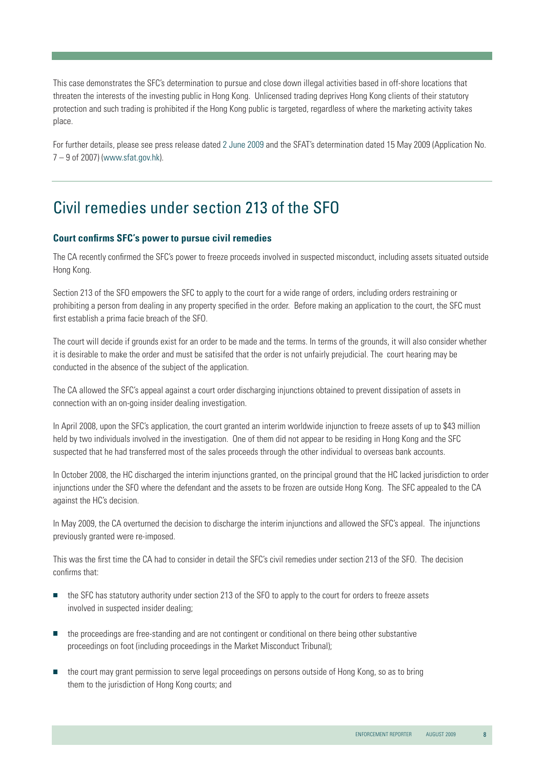This case demonstrates the SFC's determination to pursue and close down illegal activities based in off-shore locations that threaten the interests of the investing public in Hong Kong. Unlicensed trading deprives Hong Kong clients of their statutory protection and such trading is prohibited if the Hong Kong public is targeted, regardless of where the marketing activity takes place.

For further details, please see press release date[d 2 June 2009](http://www.sfc.hk/sfcPressRelease/EN/sfcOpenDocServlet?docno=09PR78) and the SFAT's determination dated 15 May 2009 (Application No. 7 – 9 of 2007) [\(www.sfat.gov.hk\)](www.sfat.gov.hk).

### Civil remedies under section 213 of the SFO

#### **Court confirms SFC's power to pursue civil remedies**

The CA recently confirmed the SFC's power to freeze proceeds involved in suspected misconduct, including assets situated outside Hong Kong.

Section 213 of the SFO empowers the SFC to apply to the court for a wide range of orders, including orders restraining or prohibiting a person from dealing in any property specified in the order. Before making an application to the court, the SFC must first establish a prima facie breach of the SFO.

The court will decide if grounds exist for an order to be made and the terms. In terms of the grounds, it will also consider whether it is desirable to make the order and must be satisifed that the order is not unfairly prejudicial. The court hearing may be conducted in the absence of the subject of the application.

The CA allowed the SFC's appeal against a court order discharging injunctions obtained to prevent dissipation of assets in connection with an on-going insider dealing investigation.

In April 2008, upon the SFC's application, the court granted an interim worldwide injunction to freeze assets of up to \$43 million held by two individuals involved in the investigation. One of them did not appear to be residing in Hong Kong and the SFC suspected that he had transferred most of the sales proceeds through the other individual to overseas bank accounts.

In October 2008, the HC discharged the interim injunctions granted, on the principal ground that the HC lacked jurisdiction to order injunctions under the SFO where the defendant and the assets to be frozen are outside Hong Kong. The SFC appealed to the CA against the HC's decision.

In May 2009, the CA overturned the decision to discharge the interim injunctions and allowed the SFC's appeal. The injunctions previously granted were re-imposed.

This was the first time the CA had to consider in detail the SFC's civil remedies under section 213 of the SFO. The decision confirms that:

- the SFC has statutory authority under section 213 of the SFO to apply to the court for orders to freeze assets involved in suspected insider dealing;
- **the proceedings are free-standing and are not contingent or conditional on there being other substantive** proceedings on foot (including proceedings in the Market Misconduct Tribunal);
- **n** the court may grant permission to serve legal proceedings on persons outside of Hong Kong, so as to bring them to the jurisdiction of Hong Kong courts; and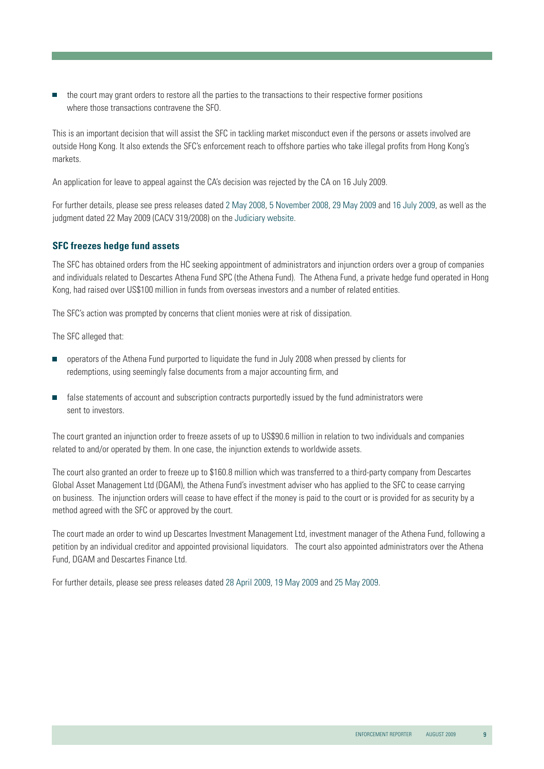$\blacksquare$  the court may grant orders to restore all the parties to the transactions to their respective former positions where those transactions contravene the SFO.

This is an important decision that will assist the SFC in tackling market misconduct even if the persons or assets involved are outside Hong Kong. It also extends the SFC's enforcement reach to offshore parties who take illegal profits from Hong Kong's markets.

An application for leave to appeal against the CA's decision was rejected by the CA on 16 July 2009.

For further details, please see press releases dated [2 May 2008,](http://www.sfc.hk/sfcPressRelease/EN/sfcOpenDocServlet?docno=08PR66) [5 November 2008,](http://www.sfc.hk/sfcPressRelease/EN/sfcOpenDocServlet?docno=08PR182) [29 May 2009](http://www.sfc.hk/sfcPressRelease/EN/sfcOpenDocServlet?docno=09PR74) and [16 July 2009,](http://www.sfc.hk/sfcPressRelease/EN/sfcOpenDocServlet?docno=09PR94) as well as the judgment dated 22 May 2009 (CACV 319/2008) on the [Judiciary website.](http://www.judiciary.gov.hk/tc/index/index.htm)

#### **SFC freezes hedge fund assets**

The SFC has obtained orders from the HC seeking appointment of administrators and injunction orders over a group of companies and individuals related to Descartes Athena Fund SPC (the Athena Fund). The Athena Fund, a private hedge fund operated in Hong Kong, had raised over US\$100 million in funds from overseas investors and a number of related entities.

The SFC's action was prompted by concerns that client monies were at risk of dissipation.

The SFC alleged that:

- operators of the Athena Fund purported to liquidate the fund in July 2008 when pressed by clients for redemptions, using seemingly false documents from a major accounting firm, and
- $\blacksquare$  false statements of account and subscription contracts purportedly issued by the fund administrators were sent to investors.

The court granted an injunction order to freeze assets of up to US\$90.6 million in relation to two individuals and companies related to and/or operated by them. In one case, the injunction extends to worldwide assets.

The court also granted an order to freeze up to \$160.8 million which was transferred to a third-party company from Descartes Global Asset Management Ltd (DGAM), the Athena Fund's investment adviser who has applied to the SFC to cease carrying on business. The injunction orders will cease to have effect if the money is paid to the court or is provided for as security by a method agreed with the SFC or approved by the court.

The court made an order to wind up Descartes Investment Management Ltd, investment manager of the Athena Fund, following a petition by an individual creditor and appointed provisional liquidators. The court also appointed administrators over the Athena Fund, DGAM and Descartes Finance Ltd.

For further details, please see press releases dated [28 April 2009,](http://www.sfc.hk/sfcPressRelease/EN/sfcOpenDocServlet?docno=09PR58) [19 May 2009](http://www.sfc.hk/sfcPressRelease/EN/sfcOpenDocServlet?docno=09PR64) an[d 25 May 2009.](http://www.sfc.hk/sfcPressRelease/EN/sfcOpenDocServlet?docno=09PR70)